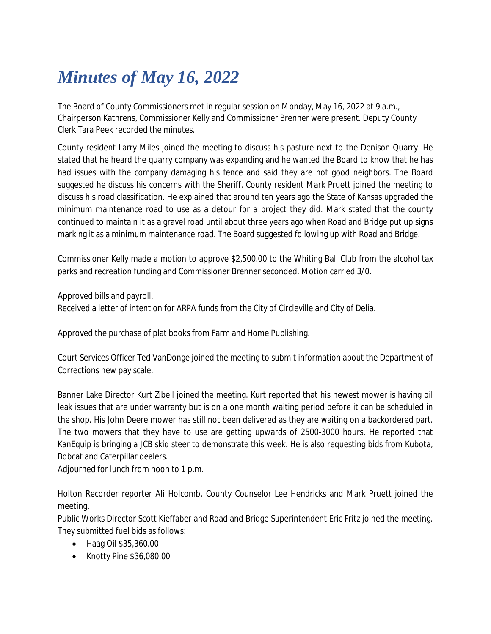## *Minutes of May 16, 2022*

The Board of County Commissioners met in regular session on Monday, May 16, 2022 at 9 a.m., Chairperson Kathrens, Commissioner Kelly and Commissioner Brenner were present. Deputy County Clerk Tara Peek recorded the minutes.

County resident Larry Miles joined the meeting to discuss his pasture next to the Denison Quarry. He stated that he heard the quarry company was expanding and he wanted the Board to know that he has had issues with the company damaging his fence and said they are not good neighbors. The Board suggested he discuss his concerns with the Sheriff. County resident Mark Pruett joined the meeting to discuss his road classification. He explained that around ten years ago the State of Kansas upgraded the minimum maintenance road to use as a detour for a project they did. Mark stated that the county continued to maintain it as a gravel road until about three years ago when Road and Bridge put up signs marking it as a minimum maintenance road. The Board suggested following up with Road and Bridge.

Commissioner Kelly made a motion to approve \$2,500.00 to the Whiting Ball Club from the alcohol tax parks and recreation funding and Commissioner Brenner seconded. Motion carried 3/0.

Approved bills and payroll.

Received a letter of intention for ARPA funds from the City of Circleville and City of Delia.

Approved the purchase of plat books from Farm and Home Publishing.

Court Services Officer Ted VanDonge joined the meeting to submit information about the Department of Corrections new pay scale.

Banner Lake Director Kurt Zibell joined the meeting. Kurt reported that his newest mower is having oil leak issues that are under warranty but is on a one month waiting period before it can be scheduled in the shop. His John Deere mower has still not been delivered as they are waiting on a backordered part. The two mowers that they have to use are getting upwards of 2500-3000 hours. He reported that KanEquip is bringing a JCB skid steer to demonstrate this week. He is also requesting bids from Kubota, Bobcat and Caterpillar dealers.

Adjourned for lunch from noon to 1 p.m.

Holton Recorder reporter Ali Holcomb, County Counselor Lee Hendricks and Mark Pruett joined the meeting.

Public Works Director Scott Kieffaber and Road and Bridge Superintendent Eric Fritz joined the meeting. They submitted fuel bids as follows:

- Haag Oil \$35,360.00
- Knotty Pine \$36,080.00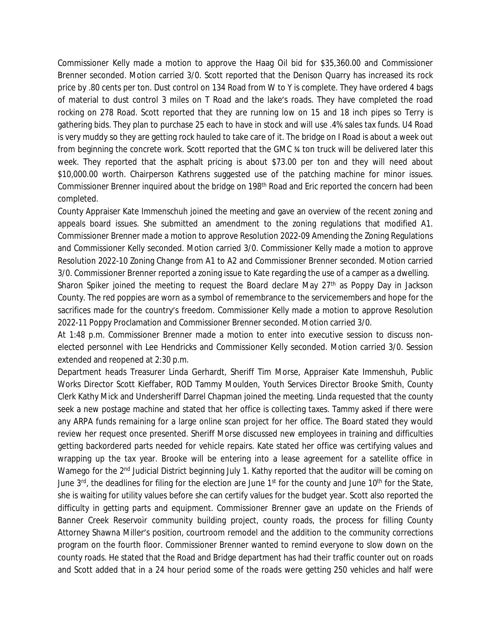Commissioner Kelly made a motion to approve the Haag Oil bid for \$35,360.00 and Commissioner Brenner seconded. Motion carried 3/0. Scott reported that the Denison Quarry has increased its rock price by .80 cents per ton. Dust control on 134 Road from W to Y is complete. They have ordered 4 bags of material to dust control 3 miles on T Road and the lake's roads. They have completed the road rocking on 278 Road. Scott reported that they are running low on 15 and 18 inch pipes so Terry is gathering bids. They plan to purchase 25 each to have in stock and will use .4% sales tax funds. U4 Road is very muddy so they are getting rock hauled to take care of it. The bridge on I Road is about a week out from beginning the concrete work. Scott reported that the GMC % ton truck will be delivered later this week. They reported that the asphalt pricing is about \$73.00 per ton and they will need about \$10,000.00 worth. Chairperson Kathrens suggested use of the patching machine for minor issues. Commissioner Brenner inquired about the bridge on 198th Road and Eric reported the concern had been completed.

County Appraiser Kate Immenschuh joined the meeting and gave an overview of the recent zoning and appeals board issues. She submitted an amendment to the zoning regulations that modified A1. Commissioner Brenner made a motion to approve Resolution 2022-09 Amending the Zoning Regulations and Commissioner Kelly seconded. Motion carried 3/0. Commissioner Kelly made a motion to approve Resolution 2022-10 Zoning Change from A1 to A2 and Commissioner Brenner seconded. Motion carried 3/0. Commissioner Brenner reported a zoning issue to Kate regarding the use of a camper as a dwelling.

Sharon Spiker joined the meeting to request the Board declare May 27<sup>th</sup> as Poppy Day in Jackson County. The red poppies are worn as a symbol of remembrance to the servicemembers and hope for the sacrifices made for the country's freedom. Commissioner Kelly made a motion to approve Resolution 2022-11 Poppy Proclamation and Commissioner Brenner seconded. Motion carried 3/0.

At 1:48 p.m. Commissioner Brenner made a motion to enter into executive session to discuss nonelected personnel with Lee Hendricks and Commissioner Kelly seconded. Motion carried 3/0. Session extended and reopened at 2:30 p.m.

Department heads Treasurer Linda Gerhardt, Sheriff Tim Morse, Appraiser Kate Immenshuh, Public Works Director Scott Kieffaber, ROD Tammy Moulden, Youth Services Director Brooke Smith, County Clerk Kathy Mick and Undersheriff Darrel Chapman joined the meeting. Linda requested that the county seek a new postage machine and stated that her office is collecting taxes. Tammy asked if there were any ARPA funds remaining for a large online scan project for her office. The Board stated they would review her request once presented. Sheriff Morse discussed new employees in training and difficulties getting backordered parts needed for vehicle repairs. Kate stated her office was certifying values and wrapping up the tax year. Brooke will be entering into a lease agreement for a satellite office in Wamego for the 2<sup>nd</sup> Judicial District beginning July 1. Kathy reported that the auditor will be coming on June 3<sup>rd</sup>, the deadlines for filing for the election are June 1st for the county and June 10<sup>th</sup> for the State, she is waiting for utility values before she can certify values for the budget year. Scott also reported the difficulty in getting parts and equipment. Commissioner Brenner gave an update on the Friends of Banner Creek Reservoir community building project, county roads, the process for filling County Attorney Shawna Miller's position, courtroom remodel and the addition to the community corrections program on the fourth floor. Commissioner Brenner wanted to remind everyone to slow down on the county roads. He stated that the Road and Bridge department has had their traffic counter out on roads and Scott added that in a 24 hour period some of the roads were getting 250 vehicles and half were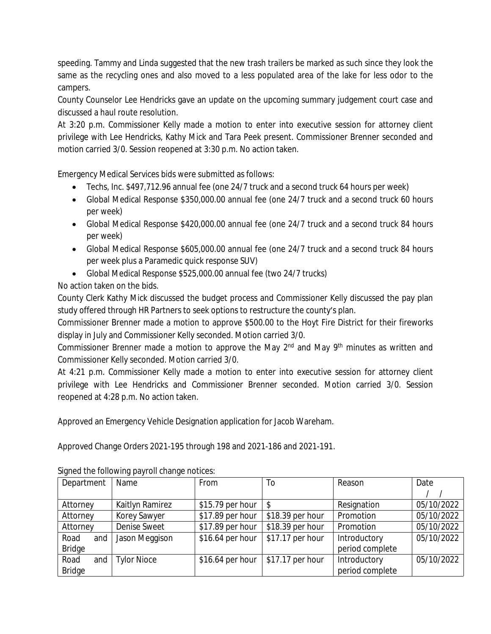speeding. Tammy and Linda suggested that the new trash trailers be marked as such since they look the same as the recycling ones and also moved to a less populated area of the lake for less odor to the campers.

County Counselor Lee Hendricks gave an update on the upcoming summary judgement court case and discussed a haul route resolution.

At 3:20 p.m. Commissioner Kelly made a motion to enter into executive session for attorney client privilege with Lee Hendricks, Kathy Mick and Tara Peek present. Commissioner Brenner seconded and motion carried 3/0. Session reopened at 3:30 p.m. No action taken.

Emergency Medical Services bids were submitted as follows:

- Techs, Inc. \$497,712.96 annual fee (one 24/7 truck and a second truck 64 hours per week)
- Global Medical Response \$350,000.00 annual fee (one 24/7 truck and a second truck 60 hours per week)
- Global Medical Response \$420,000.00 annual fee (one 24/7 truck and a second truck 84 hours per week)
- Global Medical Response \$605,000.00 annual fee (one 24/7 truck and a second truck 84 hours per week plus a Paramedic quick response SUV)
- Global Medical Response \$525,000.00 annual fee (two 24/7 trucks)

No action taken on the bids.

County Clerk Kathy Mick discussed the budget process and Commissioner Kelly discussed the pay plan study offered through HR Partners to seek options to restructure the county's plan.

Commissioner Brenner made a motion to approve \$500.00 to the Hoyt Fire District for their fireworks display in July and Commissioner Kelly seconded. Motion carried 3/0.

Commissioner Brenner made a motion to approve the May 2<sup>nd</sup> and May 9<sup>th</sup> minutes as written and Commissioner Kelly seconded. Motion carried 3/0.

At 4:21 p.m. Commissioner Kelly made a motion to enter into executive session for attorney client privilege with Lee Hendricks and Commissioner Brenner seconded. Motion carried 3/0. Session reopened at 4:28 p.m. No action taken.

Approved an Emergency Vehicle Designation application for Jacob Wareham.

Approved Change Orders 2021-195 through 198 and 2021-186 and 2021-191.

| Department    | Name               | From              | To               | Reason          | Date       |
|---------------|--------------------|-------------------|------------------|-----------------|------------|
|               |                    |                   |                  |                 |            |
| Attorney      | Kaitlyn Ramirez    | $$15.79$ per hour |                  | Resignation     | 05/10/2022 |
| Attorney      | Korey Sawyer       | \$17.89 per hour  | \$18.39 per hour | Promotion       | 05/10/2022 |
| Attorney      | Denise Sweet       | \$17.89 per hour  | \$18.39 per hour | Promotion       | 05/10/2022 |
| Road<br>and   | Jason Meggison     | \$16.64 per hour  | \$17.17 per hour | Introductory    | 05/10/2022 |
| <b>Bridge</b> |                    |                   |                  | period complete |            |
| Road<br>and   | <b>Tylor Nioce</b> | \$16.64 per hour  | \$17.17 per hour | Introductory    | 05/10/2022 |
| <b>Bridge</b> |                    |                   |                  | period complete |            |

Signed the following payroll change notices: